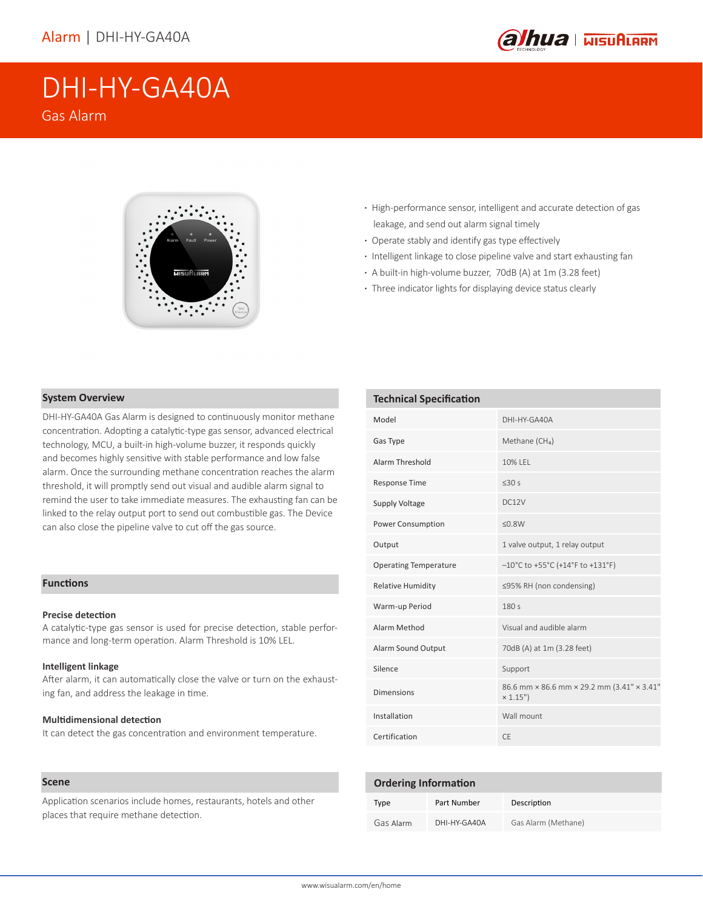

# DHI-HY-GA40A

Gas Alarm



- **·** High-performance sensor, intelligent and accurate detection of gas leakage, and send out alarm signal timely
- **·** Operate stably and identify gas type effectively
- **·** Intelligent linkage to close pipeline valve and start exhausting fan
- **·** A built-in high-volume buzzer, 70dB (A) at 1m (3.28 feet)
- **·** Three indicator lights for displaying device status clearly

# **System Overview**

DHI-HY-GA40A Gas Alarm is designed to continuously monitor methane concentration. Adopting a catalytic-type gas sensor, advanced electrical technology, MCU, a built-in high-volume buzzer, it responds quickly and becomes highly sensitive with stable performance and low false alarm. Once the surrounding methane concentration reaches the alarm threshold, it will promptly send out visual and audible alarm signal to remind the user to take immediate measures. The exhausting fan can be linked to the relay output port to send out combustible gas. The Device can also close the pipeline valve to cut off the gas source.

# **Functions**

# **Precise detection**

A catalytic-type gas sensor is used for precise detection, stable performance and long-term operation. Alarm Threshold is 10% LEL.

#### **Intelligent linkage**

After alarm, it can automatically close the valve or turn on the exhausting fan, and address the leakage in time.

### **Multidimensional detection**

It can detect the gas concentration and environment temperature.

## **Scene**

Application scenarios include homes, restaurants, hotels and other places that require methane detection.

| <b>Technical Specification</b> |                                                        |  |
|--------------------------------|--------------------------------------------------------|--|
| Model                          | DHI-HY-GA40A                                           |  |
| Gas Type                       | Methane (CH <sub>4</sub> )                             |  |
| Alarm Threshold                | 10% I FI                                               |  |
| <b>Response Time</b>           | $<$ 30 $s$                                             |  |
| <b>Supply Voltage</b>          | DC12V                                                  |  |
| Power Consumption              | < 0.8W                                                 |  |
| Output                         | 1 valve output, 1 relay output                         |  |
| <b>Operating Temperature</b>   | $-10^{\circ}$ C to +55°C (+14°F to +131°F)             |  |
| <b>Relative Humidity</b>       | ≤95% RH (non condensing)                               |  |
| Warm-up Period                 | 180s                                                   |  |
| Alarm Method                   | Visual and audible alarm                               |  |
| Alarm Sound Output             | 70dB (A) at 1m (3.28 feet)                             |  |
| Silence                        | Support                                                |  |
| <b>Dimensions</b>              | 86.6 mm × 86.6 mm × 29.2 mm (3.41" × 3.41"<br>× 1.15") |  |
| Installation                   | Wall mount                                             |  |
| Certification                  | CF                                                     |  |

| <b>Ordering Information</b> |              |                     |
|-----------------------------|--------------|---------------------|
| Type                        | Part Number  | Description         |
| Gas Alarm                   | DHI-HY-GA40A | Gas Alarm (Methane) |